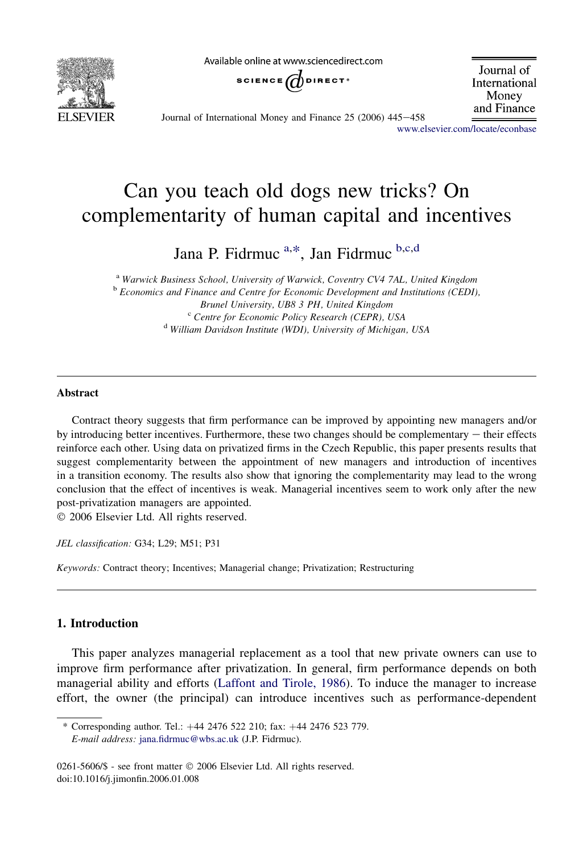

Available online at www.sciencedirect.com



Journal of International Money and Finance

Journal of International Money and Finance 25 (2006) 445-458

[www.elsevier.com/locate/econbase](http://www.elsevier.com/locate/econbase)

## Can you teach old dogs new tricks? On complementarity of human capital and incentives

Jana P. Fidrmuc<sup>a,\*</sup>, Jan Fidrmuc<sup>b,c,d</sup>

<sup>a</sup> Warwick Business School, University of Warwick, Coventry CV4 7AL, United Kingdom b Economics and Finance and Centre for Economic Development and Institutions (CEDI), Brunel University, UB8 3 PH, United Kingdom<br><sup>c</sup> Centre for Economic Policy Research (CEPR), USA<br><sup>d</sup> William Davidson Institute (WDI), University of Michigan, USA

## Abstract

Contract theory suggests that firm performance can be improved by appointing new managers and/or by introducing better incentives. Furthermore, these two changes should be complementary  $-$  their effects reinforce each other. Using data on privatized firms in the Czech Republic, this paper presents results that suggest complementarity between the appointment of new managers and introduction of incentives in a transition economy. The results also show that ignoring the complementarity may lead to the wrong conclusion that the effect of incentives is weak. Managerial incentives seem to work only after the new post-privatization managers are appointed.

2006 Elsevier Ltd. All rights reserved.

JEL classification: G34; L29; M51; P31

Keywords: Contract theory; Incentives; Managerial change; Privatization; Restructuring

## 1. Introduction

This paper analyzes managerial replacement as a tool that new private owners can use to improve firm performance after privatization. In general, firm performance depends on both managerial ability and efforts ([Laffont and Tirole, 1986\)](#page--1-0). To induce the manager to increase effort, the owner (the principal) can introduce incentives such as performance-dependent

<sup>\*</sup> Corresponding author. Tel.:  $+44$  2476 522 210; fax:  $+44$  2476 523 779. E-mail address: [jana.fidrmuc@wbs.ac.uk](mailto:jana.fidrmuc@wbs.ac.uk) (J.P. Fidrmuc).

<sup>0261-5606/\$ -</sup> see front matter © 2006 Elsevier Ltd. All rights reserved. doi:10.1016/j.jimonfin.2006.01.008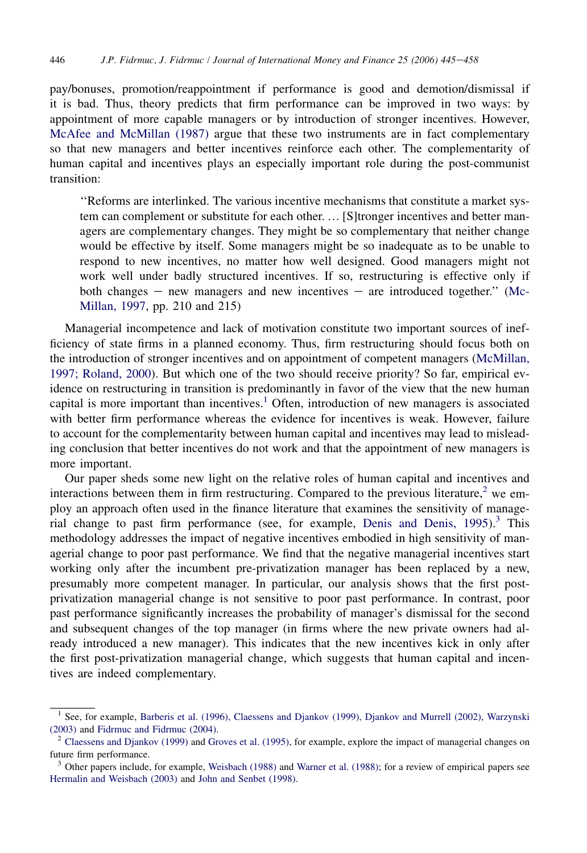pay/bonuses, promotion/reappointment if performance is good and demotion/dismissal if it is bad. Thus, theory predicts that firm performance can be improved in two ways: by appointment of more capable managers or by introduction of stronger incentives. However, [McAfee and McMillan \(1987\)](#page--1-0) argue that these two instruments are in fact complementary so that new managers and better incentives reinforce each other. The complementarity of human capital and incentives plays an especially important role during the post-communist transition:

''Reforms are interlinked. The various incentive mechanisms that constitute a market system can complement or substitute for each other. *.* [S]tronger incentives and better managers are complementary changes. They might be so complementary that neither change would be effective by itself. Some managers might be so inadequate as to be unable to respond to new incentives, no matter how well designed. Good managers might not work well under badly structured incentives. If so, restructuring is effective only if both changes  $-$  new managers and new incentives  $-$  are introduced together." ([Mc-](#page--1-0)[Millan, 1997](#page--1-0), pp. 210 and 215)

Managerial incompetence and lack of motivation constitute two important sources of inefficiency of state firms in a planned economy. Thus, firm restructuring should focus both on the introduction of stronger incentives and on appointment of competent managers ([McMillan,](#page--1-0) [1997; Roland, 2000\)](#page--1-0). But which one of the two should receive priority? So far, empirical evidence on restructuring in transition is predominantly in favor of the view that the new human capital is more important than incentives.<sup>1</sup> Often, introduction of new managers is associated with better firm performance whereas the evidence for incentives is weak. However, failure to account for the complementarity between human capital and incentives may lead to misleading conclusion that better incentives do not work and that the appointment of new managers is more important.

Our paper sheds some new light on the relative roles of human capital and incentives and interactions between them in firm restructuring. Compared to the previous literature,<sup>2</sup> we employ an approach often used in the finance literature that examines the sensitivity of managerial change to past firm performance (see, for example, Denis and Denis,  $1995$ ).<sup>3</sup> This methodology addresses the impact of negative incentives embodied in high sensitivity of managerial change to poor past performance. We find that the negative managerial incentives start working only after the incumbent pre-privatization manager has been replaced by a new, presumably more competent manager. In particular, our analysis shows that the first postprivatization managerial change is not sensitive to poor past performance. In contrast, poor past performance significantly increases the probability of manager's dismissal for the second and subsequent changes of the top manager (in firms where the new private owners had already introduced a new manager). This indicates that the new incentives kick in only after the first post-privatization managerial change, which suggests that human capital and incentives are indeed complementary.

<sup>&</sup>lt;sup>1</sup> See, for example, [Barberis et al. \(1996\), Claessens and Djankov \(1999\), Djankov and Murrell \(2002\), Warzynski](#page--1-0) [\(2003\)](#page--1-0) and [Fidrmuc and Fidrmuc \(2004\)](#page--1-0).<br><sup>2</sup> [Claessens and Djankov \(1999\)](#page--1-0) and [Groves et al. \(1995\)](#page--1-0), for example, explore the impact of managerial changes on

future firm performance.

<sup>3</sup> Other papers include, for example, [Weisbach \(1988\)](#page--1-0) and [Warner et al. \(1988\);](#page--1-0) for a review of empirical papers see [Hermalin and Weisbach \(2003\)](#page--1-0) and [John and Senbet \(1998\).](#page--1-0)